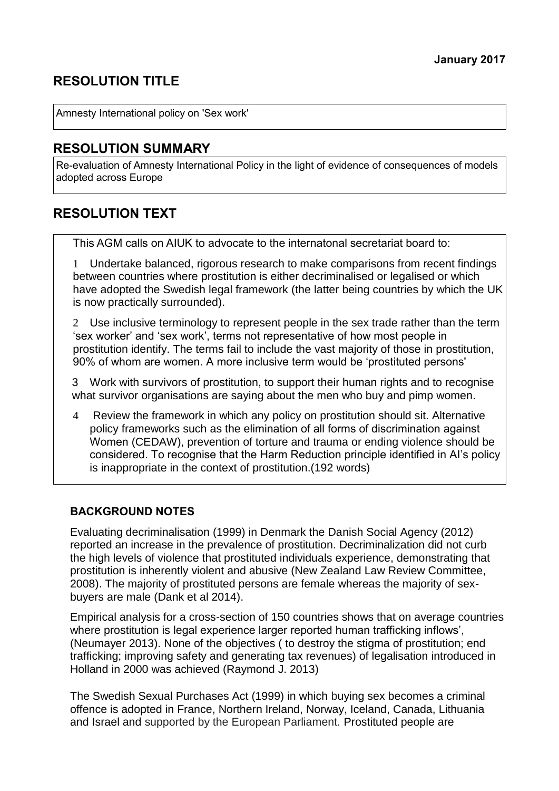# **RESOLUTION TITLE**

Amnesty International policy on 'Sex work'

## **RESOLUTION SUMMARY**

Re-evaluation of Amnesty International Policy in the light of evidence of consequences of models adopted across Europe

## **RESOLUTION TEXT**

This AGM calls on AIUK to advocate to the internatonal secretariat board to:

1 Undertake balanced, rigorous research to make comparisons from recent findings between countries where prostitution is either decriminalised or legalised or which have adopted the Swedish legal framework (the latter being countries by which the UK is now practically surrounded).

2 Use inclusive terminology to represent people in the sex trade rather than the term 'sex worker' and 'sex work', terms not representative of how most people in prostitution identify. The terms fail to include the vast majority of those in prostitution, 90% of whom are women. A more inclusive term would be 'prostituted persons'

3 Work with survivors of prostitution, to support their human rights and to recognise what survivor organisations are saying about the men who buy and pimp women.

4 Review the framework in which any policy on prostitution should sit. Alternative policy frameworks such as the elimination of all forms of discrimination against Women (CEDAW), prevention of torture and trauma or ending violence should be considered. To recognise that the Harm Reduction principle identified in AI's policy is inappropriate in the context of prostitution.(192 words)

#### **BACKGROUND NOTES**

Evaluating decriminalisation (1999) in Denmark the Danish Social Agency (2012) reported an increase in the prevalence of prostitution. Decriminalization did not curb the high levels of violence that prostituted individuals experience, demonstrating that prostitution is inherently violent and abusive (New Zealand Law Review Committee, 2008). The majority of prostituted persons are female whereas the majority of sexbuyers are male (Dank et al 2014).

Empirical analysis for a cross-section of 150 countries shows that on average countries where prostitution is legal experience larger reported human trafficking inflows', (Neumayer 2013). None of the objectives ( to destroy the stigma of prostitution; end trafficking; improving safety and generating tax revenues) of legalisation introduced in Holland in 2000 was achieved (Raymond J. 2013)

The Swedish Sexual Purchases Act (1999) in which buying sex becomes a criminal offence is adopted in France, Northern Ireland, Norway, Iceland, Canada, Lithuania and Israel and supported by the European Parliament. Prostituted people are